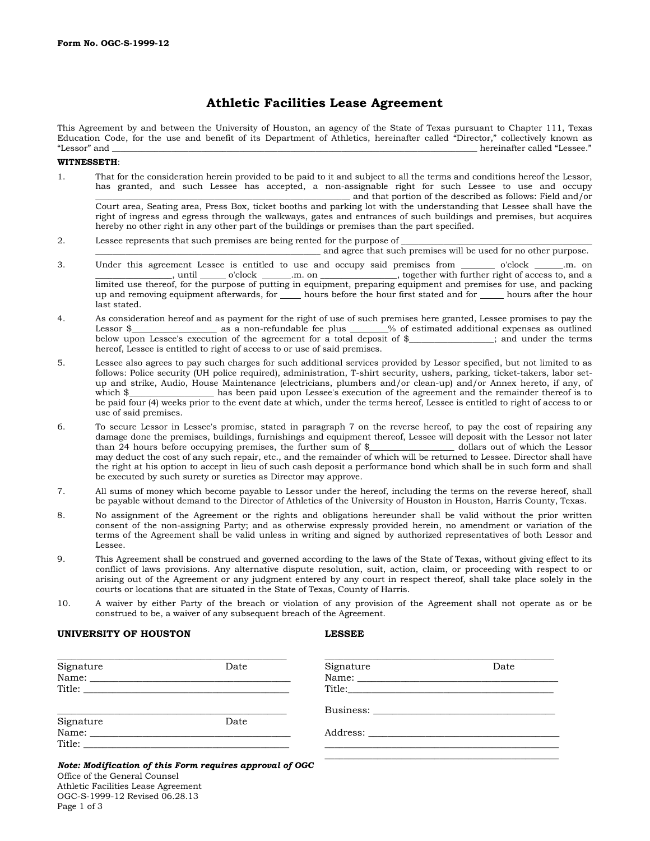# **Athletic Facilities Lease Agreement**

This Agreement by and between the University of Houston, an agency of the State of Texas pursuant to Chapter 111, Texas Education Code, for the use and benefit of its Department of Athletics, hereinafter called "Director," collectively known as "Lessor" and \_\_\_\_\_\_\_\_\_\_\_\_\_\_\_\_\_\_\_\_\_\_\_\_\_\_\_\_\_\_\_\_\_\_\_\_\_\_\_\_\_\_\_\_\_\_\_\_\_\_\_\_\_\_\_\_\_\_\_\_\_\_\_\_\_\_\_\_\_\_\_\_\_\_\_\_\_\_\_\_\_\_\_\_\_\_ hereinafter called "Lessee."

#### **WITNESSETH**:

- 1. That for the consideration herein provided to be paid to it and subject to all the terms and conditions hereof the Lessor, has granted, and such Lessee has accepted, a non-assignable right for such Lessee to use and occupy \_\_\_\_\_\_\_\_\_\_\_\_\_\_\_\_\_\_\_\_\_\_\_\_\_\_\_\_\_\_\_\_\_\_\_\_\_\_\_\_\_\_\_\_\_\_\_\_\_\_\_\_\_\_\_\_\_\_\_\_ and that portion of the described as follows: Field and/or Court area, Seating area, Press Box, ticket booths and parking lot with the understanding that Lessee shall have the right of ingress and egress through the walkways, gates and entrances of such buildings and premises, but acquires hereby no other right in any other part of the buildings or premises than the part specified.
- 2. Lessee represents that such premises are being rented for the purpose of

\_\_\_\_\_\_\_\_\_\_\_\_\_\_\_\_\_\_\_\_\_\_\_\_\_\_\_\_\_\_\_\_\_\_\_\_\_\_\_\_\_\_\_\_\_\_\_\_\_\_\_\_\_ and agree that such premises will be used for no other purpose.

- 3. Under this agreement Lessee is entitled to use and occupy said premises from  $\frac{\ }{\ }$  o'clock  $\frac{\ }{\ }$  on on  $\frac{\ }{\ }$  o'clock  $\frac{\ }{\ }$  on  $\frac{\ }{\ }$  o'clock  $\frac{\ }{\ }$  on  $\frac{\ }{\ }$  on  $\frac{\ }{\ }$  of access to, and a  $\_\_\_\_\_\_\_\_\_\_\_\_\_\_\_\_\_\_\_\_\_\_\_\_\_\_\_\_\_\_\_\_.\_\_\_\_\_\_.\_\_$ limited use thereof, for the purpose of putting in equipment, preparing equipment and premises for use, and packing up and removing equipment afterwards, for \_\_\_\_\_ hours before the hour first stated and for \_\_\_\_\_ hours after the hour last stated.
- 4. As consideration hereof and as payment for the right of use of such premises here granted, Lessee promises to pay the<br>Lessor \$ as a non-refundable fee plus % of estimated additional expenses as outlined as a non-refundable fee plus  $\frac{1}{2}$ % of estimated additional expenses as outlined ion of the agreement for a total deposit of \$, and under the terms below upon Lessee's execution of the agreement for a total deposit of  $\frac{1}{2}$ hereof, Lessee is entitled to right of access to or use of said premises.
- 5. Lessee also agrees to pay such charges for such additional services provided by Lessor specified, but not limited to as follows: Police security (UH police required), administration, T-shirt security, ushers, parking, ticket-takers, labor setup and strike, Audio, House Maintenance (electricians, plumbers and/or clean-up) and/or Annex hereto, if any, of which \$ has been paid upon Lessee's execution of the agreement and the remainder thereof is to be paid four (4) weeks prior to the event date at which, under the terms hereof, Lessee is entitled to right of access to or use of said premises.
- 6. To secure Lessor in Lessee's promise, stated in paragraph 7 on the reverse hereof, to pay the cost of repairing any damage done the premises, buildings, furnishings and equipment thereof, Lessee will deposit with the Lessor not later than 24 hours before occupying premises, the further sum of \$\_ may deduct the cost of any such repair, etc., and the remainder of which will be returned to Lessee. Director shall have the right at his option to accept in lieu of such cash deposit a performance bond which shall be in such form and shall be executed by such surety or sureties as Director may approve.
- 7. All sums of money which become payable to Lessor under the hereof, including the terms on the reverse hereof, shall be payable without demand to the Director of Athletics of the University of Houston in Houston, Harris County, Texas.
- 8. No assignment of the Agreement or the rights and obligations hereunder shall be valid without the prior written consent of the non-assigning Party; and as otherwise expressly provided herein, no amendment or variation of the terms of the Agreement shall be valid unless in writing and signed by authorized representatives of both Lessor and Lessee.
- 9. This Agreement shall be construed and governed according to the laws of the State of Texas, without giving effect to its conflict of laws provisions. Any alternative dispute resolution, suit, action, claim, or proceeding with respect to or arising out of the Agreement or any judgment entered by any court in respect thereof, shall take place solely in the courts or locations that are situated in the State of Texas, County of Harris.
- 10. A waiver by either Party of the breach or violation of any provision of the Agreement shall not operate as or be construed to be, a waiver of any subsequent breach of the Agreement.

### **UNIVERSITY OF HOUSTON LESSEE**

| Signature | Date   | Signature | Date |
|-----------|--------|-----------|------|
|           | Title: |           |      |
|           |        |           |      |
| Signature | Date   |           |      |
| Name:     |        |           |      |
|           |        |           |      |

Office of the General Counsel Athletic Facilities Lease Agreement OGC-S-1999-12 Revised 06.28.13 Page 1 of 3 *Note: Modification of this Form requires approval of OGC*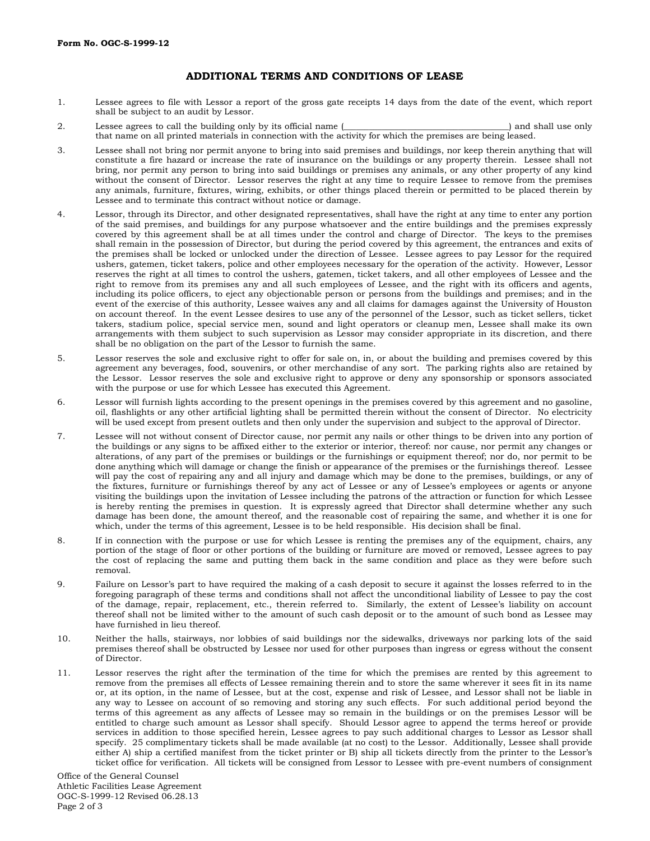## **ADDITIONAL TERMS AND CONDITIONS OF LEASE**

- 1. Lessee agrees to file with Lessor a report of the gross gate receipts 14 days from the date of the event, which report shall be subject to an audit by Lessor.
- 2. Lessee agrees to call the building only by its official name (  $\Box$  ) and shall use only that name on all printed materials in connection with the activity for which the premises are being leased.
- 3. Lessee shall not bring nor permit anyone to bring into said premises and buildings, nor keep therein anything that will constitute a fire hazard or increase the rate of insurance on the buildings or any property therein. Lessee shall not bring, nor permit any person to bring into said buildings or premises any animals, or any other property of any kind without the consent of Director. Lessor reserves the right at any time to require Lessee to remove from the premises any animals, furniture, fixtures, wiring, exhibits, or other things placed therein or permitted to be placed therein by Lessee and to terminate this contract without notice or damage.
- 4. Lessor, through its Director, and other designated representatives, shall have the right at any time to enter any portion of the said premises, and buildings for any purpose whatsoever and the entire buildings and the premises expressly covered by this agreement shall be at all times under the control and charge of Director. The keys to the premises shall remain in the possession of Director, but during the period covered by this agreement, the entrances and exits of the premises shall be locked or unlocked under the direction of Lessee. Lessee agrees to pay Lessor for the required ushers, gatemen, ticket takers, police and other employees necessary for the operation of the activity. However, Lessor reserves the right at all times to control the ushers, gatemen, ticket takers, and all other employees of Lessee and the right to remove from its premises any and all such employees of Lessee, and the right with its officers and agents, including its police officers, to eject any objectionable person or persons from the buildings and premises; and in the event of the exercise of this authority, Lessee waives any and all claims for damages against the University of Houston on account thereof. In the event Lessee desires to use any of the personnel of the Lessor, such as ticket sellers, ticket takers, stadium police, special service men, sound and light operators or cleanup men, Lessee shall make its own arrangements with them subject to such supervision as Lessor may consider appropriate in its discretion, and there shall be no obligation on the part of the Lessor to furnish the same.
- 5. Lessor reserves the sole and exclusive right to offer for sale on, in, or about the building and premises covered by this agreement any beverages, food, souvenirs, or other merchandise of any sort. The parking rights also are retained by the Lessor. Lessor reserves the sole and exclusive right to approve or deny any sponsorship or sponsors associated with the purpose or use for which Lessee has executed this Agreement.
- 6. Lessor will furnish lights according to the present openings in the premises covered by this agreement and no gasoline, oil, flashlights or any other artificial lighting shall be permitted therein without the consent of Director. No electricity will be used except from present outlets and then only under the supervision and subject to the approval of Director.
- 7. Lessee will not without consent of Director cause, nor permit any nails or other things to be driven into any portion of the buildings or any signs to be affixed either to the exterior or interior, thereof: nor cause, nor permit any changes or alterations, of any part of the premises or buildings or the furnishings or equipment thereof; nor do, nor permit to be done anything which will damage or change the finish or appearance of the premises or the furnishings thereof. Lessee will pay the cost of repairing any and all injury and damage which may be done to the premises, buildings, or any of the fixtures, furniture or furnishings thereof by any act of Lessee or any of Lessee's employees or agents or anyone visiting the buildings upon the invitation of Lessee including the patrons of the attraction or function for which Lessee is hereby renting the premises in question. It is expressly agreed that Director shall determine whether any such damage has been done, the amount thereof, and the reasonable cost of repairing the same, and whether it is one for which, under the terms of this agreement, Lessee is to be held responsible. His decision shall be final.
- 8. If in connection with the purpose or use for which Lessee is renting the premises any of the equipment, chairs, any portion of the stage of floor or other portions of the building or furniture are moved or removed, Lessee agrees to pay the cost of replacing the same and putting them back in the same condition and place as they were before such removal.
- 9. Failure on Lessor's part to have required the making of a cash deposit to secure it against the losses referred to in the foregoing paragraph of these terms and conditions shall not affect the unconditional liability of Lessee to pay the cost of the damage, repair, replacement, etc., therein referred to. Similarly, the extent of Lessee's liability on account thereof shall not be limited wither to the amount of such cash deposit or to the amount of such bond as Lessee may have furnished in lieu thereof.
- 10. Neither the halls, stairways, nor lobbies of said buildings nor the sidewalks, driveways nor parking lots of the said premises thereof shall be obstructed by Lessee nor used for other purposes than ingress or egress without the consent of Director.
- 11. Lessor reserves the right after the termination of the time for which the premises are rented by this agreement to remove from the premises all effects of Lessee remaining therein and to store the same wherever it sees fit in its name or, at its option, in the name of Lessee, but at the cost, expense and risk of Lessee, and Lessor shall not be liable in any way to Lessee on account of so removing and storing any such effects. For such additional period beyond the terms of this agreement as any affects of Lessee may so remain in the buildings or on the premises Lessor will be entitled to charge such amount as Lessor shall specify. Should Lessor agree to append the terms hereof or provide services in addition to those specified herein, Lessee agrees to pay such additional charges to Lessor as Lessor shall specify. 25 complimentary tickets shall be made available (at no cost) to the Lessor. Additionally, Lessee shall provide either A) ship a certified manifest from the ticket printer or B) ship all tickets directly from the printer to the Lessor's ticket office for verification. All tickets will be consigned from Lessor to Lessee with pre-event numbers of consignment